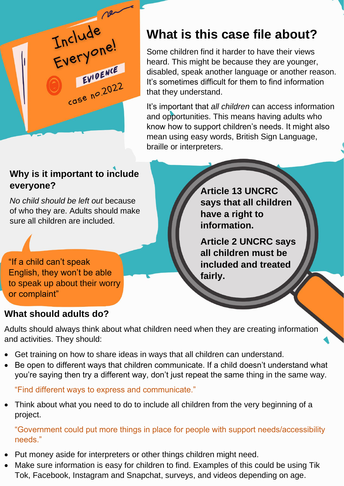

## **What is this case file about?**

Some children find it harder to have their views heard. This might be because they are younger, disabled, speak another language or another reason. It's sometimes difficult for them to find information that they understand.

It's important that *all children* can access information and opportunities. This means having adults who know how to support children's needs. It might also mean using easy words, British Sign Language, braille or interpreters.

#### **Why is it important to include everyone?**

*No child should be left out* because of who they are. Adults should make sure all children are included.

"If a child can't speak English, they won't be able to speak up about their worry or complaint"

**Article 13 UNCRC says that all children have a right to information.**

**Article 2 UNCRC says all children must be included and treated fairly.**

#### **What should adults do?**

Adults should always think about what children need when they are creating information and activities. They should:

- Get training on how to share ideas in ways that all children can understand.
- Be open to different ways that children communicate. If a child doesn't understand what you're saying then try a different way, don't just repeat the same thing in the same way.

"Find different ways to express and communicate."

• Think about what you need to do to include all children from the very beginning of a project.

"Government could put more things in place for people with support needs/accessibility needs."

- Put money aside for interpreters or other things children might need.
- Make sure information is easy for children to find. Examples of this could be using Tik Tok, Facebook, Instagram and Snapchat, surveys, and videos depending on age.